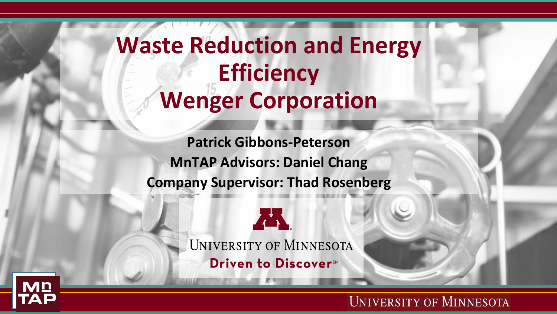**Waste Reduction and Energy Efficiency Wenger Corporation**

**Patrick Gibbons-Peterson MnTAP Advisors: Daniel Chang Company Supervisor: Thad Rosenberg**



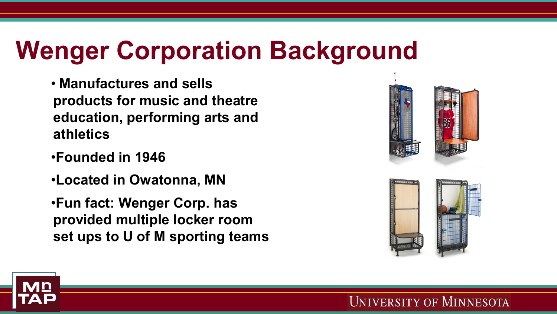# **Wenger Corporation Background**

- **Manufactures and sells products for music and theatre education, performing arts and athletics**
- •**Founded in 1946**
- •**Located in Owatonna, MN**
- •**Fun fact: Wenger Corp. has provided multiple locker room set ups to U of M sporting teams**



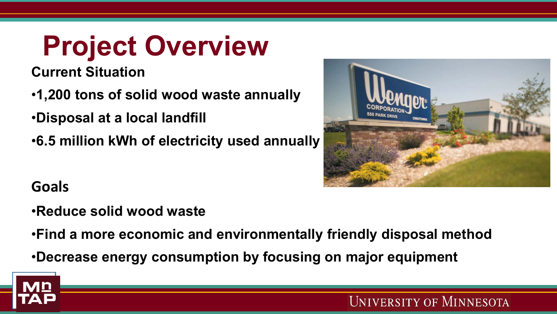# **Project Overview**

**Current Situation**

- •**1,200 tons of solid wood waste annually**
- •**Disposal at a local landfill**
- •**6.5 million kWh of electricity used annually**



**Goals**

- •**Reduce solid wood waste**
- •**Find a more economic and environmentally friendly disposal method**
- •**Decrease energy consumption by focusing on major equipment**

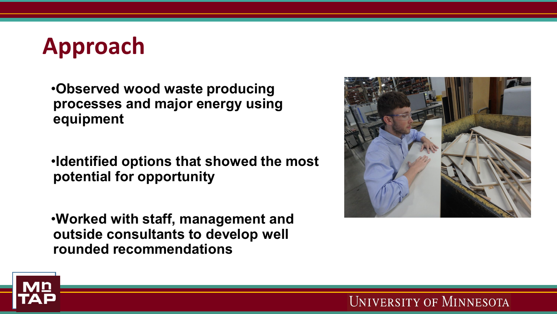## **Approach**

•**Observed wood waste producing processes and major energy using equipment**

•**Identified options that showed the most potential for opportunity**

•**Worked with staff, management and outside consultants to develop well rounded recommendations**



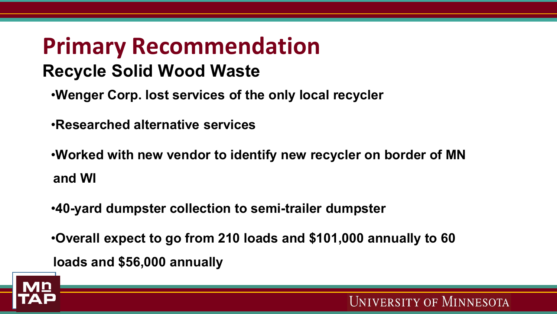### **Primary Recommendation Recycle Solid Wood Waste**

- •**Wenger Corp. lost services of the only local recycler**
- •**Researched alternative services**
- •**Worked with new vendor to identify new recycler on border of MN and WI**
- •**40-yard dumpster collection to semi-trailer dumpster**
- •**Overall expect to go from 210 loads and \$101,000 annually to 60 loads and \$56,000 annually**

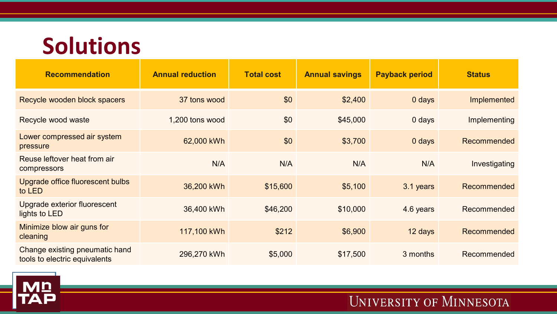### **Solutions**

| <b>Recommendation</b>                                           | <b>Annual reduction</b> | <b>Total cost</b> | <b>Annual savings</b> | <b>Payback period</b> | <b>Status</b> |
|-----------------------------------------------------------------|-------------------------|-------------------|-----------------------|-----------------------|---------------|
| Recycle wooden block spacers                                    | 37 tons wood            | \$0               | \$2,400               | $0$ days              | Implemented   |
| Recycle wood waste                                              | 1,200 tons wood         | \$0               | \$45,000              | $0$ days              | Implementing  |
| Lower compressed air system<br>pressure                         | 62,000 kWh              | \$0               | \$3,700               | $0$ days              | Recommended   |
| Reuse leftover heat from air<br>compressors                     | N/A                     | N/A               | N/A                   | N/A                   | Investigating |
| Upgrade office fluorescent bulbs<br>to LED                      | 36,200 kWh              | \$15,600          | \$5,100               | 3.1 years             | Recommended   |
| Upgrade exterior fluorescent<br>lights to LED                   | 36,400 kWh              | \$46,200          | \$10,000              | 4.6 years             | Recommended   |
| Minimize blow air guns for<br>cleaning                          | 117,100 kWh             | \$212             | \$6,900               | 12 days               | Recommended   |
| Change existing pneumatic hand<br>tools to electric equivalents | 296,270 kWh             | \$5,000           | \$17,500              | 3 months              | Recommended   |

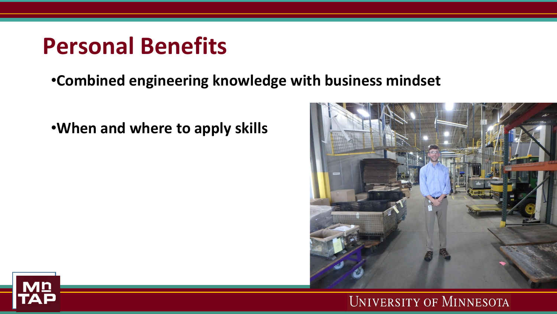### **Personal Benefits**

### •**Combined engineering knowledge with business mindset**

### •**When and where to apply skills**